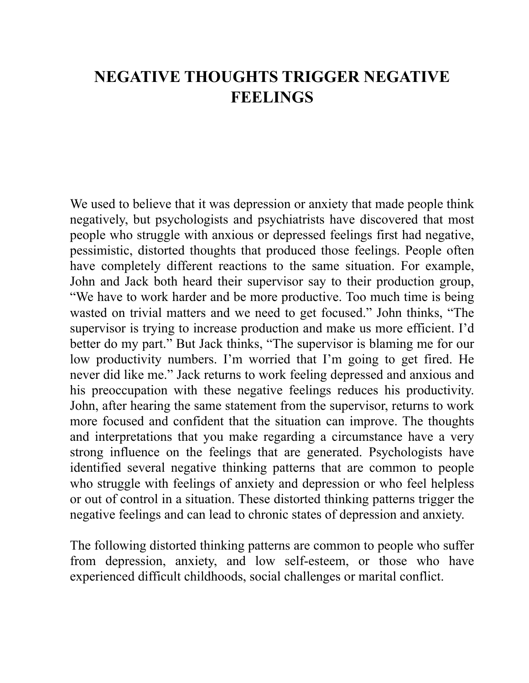## **NEGATIVE THOUGHTS TRIGGER NEGATIVE FEELINGS**

We used to believe that it was depression or anxiety that made people think negatively, but psychologists and psychiatrists have discovered that most people who struggle with anxious or depressed feelings first had negative, pessimistic, distorted thoughts that produced those feelings. People often have completely different reactions to the same situation. For example, John and Jack both heard their supervisor say to their production group, "We have to work harder and be more productive. Too much time is being wasted on trivial matters and we need to get focused." John thinks, "The supervisor is trying to increase production and make us more efficient. I'd better do my part." But Jack thinks, "The supervisor is blaming me for our low productivity numbers. I'm worried that I'm going to get fired. He never did like me." Jack returns to work feeling depressed and anxious and his preoccupation with these negative feelings reduces his productivity. John, after hearing the same statement from the supervisor, returns to work more focused and confident that the situation can improve. The thoughts and interpretations that you make regarding a circumstance have a very strong influence on the feelings that are generated. Psychologists have identified several negative thinking patterns that are common to people who struggle with feelings of anxiety and depression or who feel helpless or out of control in a situation. These distorted thinking patterns trigger the negative feelings and can lead to chronic states of depression and anxiety.

The following distorted thinking patterns are common to people who suffer from depression, anxiety, and low self-esteem, or those who have experienced difficult childhoods, social challenges or marital conflict.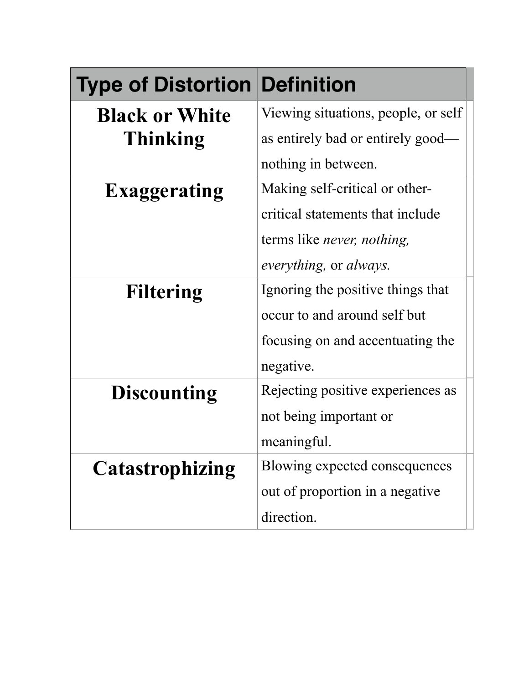| <b>Type of Distortion Definition</b> |                                            |
|--------------------------------------|--------------------------------------------|
| <b>Black or White</b>                | Viewing situations, people, or self        |
| <b>Thinking</b>                      | as entirely bad or entirely good-          |
|                                      | nothing in between.                        |
| <b>Exaggerating</b>                  | Making self-critical or other-             |
|                                      | critical statements that include           |
|                                      | terms like <i>never</i> , <i>nothing</i> , |
|                                      | <i>everything</i> , or <i>always</i> .     |
| <b>Filtering</b>                     | Ignoring the positive things that          |
|                                      | occur to and around self but               |
|                                      | focusing on and accentuating the           |
|                                      | negative.                                  |
| <b>Discounting</b>                   | Rejecting positive experiences as          |
|                                      | not being important or                     |
|                                      | meaningful.                                |
| <b>Catastrophizing</b>               | Blowing expected consequences              |
|                                      | out of proportion in a negative            |
|                                      | direction.                                 |